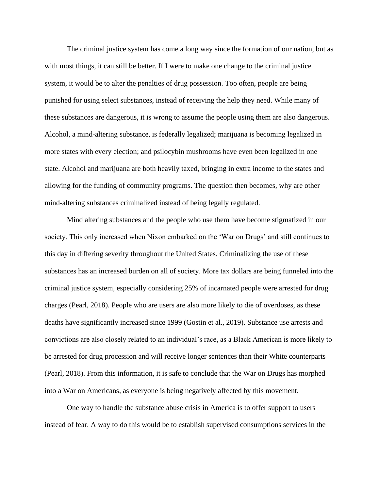The criminal justice system has come a long way since the formation of our nation, but as with most things, it can still be better. If I were to make one change to the criminal justice system, it would be to alter the penalties of drug possession. Too often, people are being punished for using select substances, instead of receiving the help they need. While many of these substances are dangerous, it is wrong to assume the people using them are also dangerous. Alcohol, a mind-altering substance, is federally legalized; marijuana is becoming legalized in more states with every election; and psilocybin mushrooms have even been legalized in one state. Alcohol and marijuana are both heavily taxed, bringing in extra income to the states and allowing for the funding of community programs. The question then becomes, why are other mind-altering substances criminalized instead of being legally regulated.

Mind altering substances and the people who use them have become stigmatized in our society. This only increased when Nixon embarked on the 'War on Drugs' and still continues to this day in differing severity throughout the United States. Criminalizing the use of these substances has an increased burden on all of society. More tax dollars are being funneled into the criminal justice system, especially considering 25% of incarnated people were arrested for drug charges (Pearl, 2018). People who are users are also more likely to die of overdoses, as these deaths have significantly increased since 1999 (Gostin et al., 2019). Substance use arrests and convictions are also closely related to an individual's race, as a Black American is more likely to be arrested for drug procession and will receive longer sentences than their White counterparts (Pearl, 2018). From this information, it is safe to conclude that the War on Drugs has morphed into a War on Americans, as everyone is being negatively affected by this movement.

One way to handle the substance abuse crisis in America is to offer support to users instead of fear. A way to do this would be to establish supervised consumptions services in the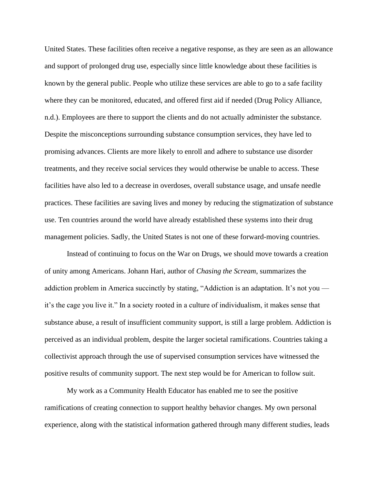United States. These facilities often receive a negative response, as they are seen as an allowance and support of prolonged drug use, especially since little knowledge about these facilities is known by the general public. People who utilize these services are able to go to a safe facility where they can be monitored, educated, and offered first aid if needed (Drug Policy Alliance, n.d.). Employees are there to support the clients and do not actually administer the substance. Despite the misconceptions surrounding substance consumption services, they have led to promising advances. Clients are more likely to enroll and adhere to substance use disorder treatments, and they receive social services they would otherwise be unable to access. These facilities have also led to a decrease in overdoses, overall substance usage, and unsafe needle practices. These facilities are saving lives and money by reducing the stigmatization of substance use. Ten countries around the world have already established these systems into their drug management policies. Sadly, the United States is not one of these forward-moving countries.

Instead of continuing to focus on the War on Drugs, we should move towards a creation of unity among Americans. Johann Hari, author of *Chasing the Scream*, summarizes the addiction problem in America succinctly by stating, "Addiction is an adaptation. It's not you it's the cage you live it." In a society rooted in a culture of individualism, it makes sense that substance abuse, a result of insufficient community support, is still a large problem. Addiction is perceived as an individual problem, despite the larger societal ramifications. Countries taking a collectivist approach through the use of supervised consumption services have witnessed the positive results of community support. The next step would be for American to follow suit.

My work as a Community Health Educator has enabled me to see the positive ramifications of creating connection to support healthy behavior changes. My own personal experience, along with the statistical information gathered through many different studies, leads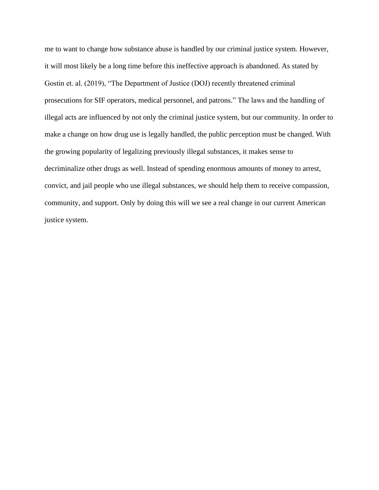me to want to change how substance abuse is handled by our criminal justice system. However, it will most likely be a long time before this ineffective approach is abandoned. As stated by Gostin et. al. (2019), "The Department of Justice (DOJ) recently threatened criminal prosecutions for SIF operators, medical personnel, and patrons." The laws and the handling of illegal acts are influenced by not only the criminal justice system, but our community. In order to make a change on how drug use is legally handled, the public perception must be changed. With the growing popularity of legalizing previously illegal substances, it makes sense to decriminalize other drugs as well. Instead of spending enormous amounts of money to arrest, convict, and jail people who use illegal substances, we should help them to receive compassion, community, and support. Only by doing this will we see a real change in our current American justice system.